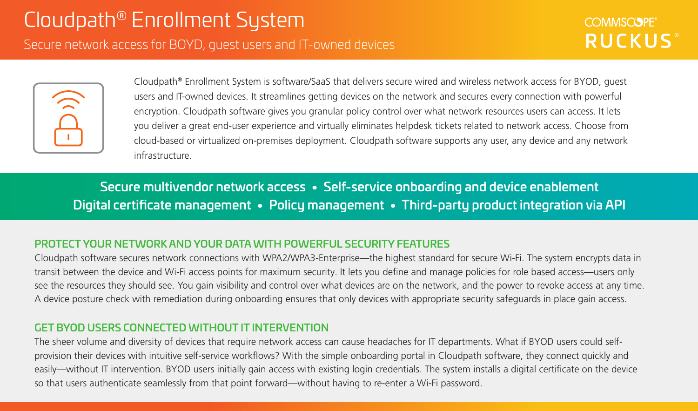# Secure network access for BOYD, guest users and IT-owned devices

Cloudpath® Enrollment System is software/SaaS that delivers secure wired and wireless network access for BYOD, guest users and IT-owned devices. It streamlines getting devices on the network and secures every connection with powerful encryption. Cloudpath software gives you granular policy control over what network resources users can access. It lets you deliver a great end-user experience and virtually eliminates helpdesk tickets related to network access. Choose from cloud-based or virtualized on-premises deployment. Cloudpath software supports any user, any device and any network infrastructure.

Secure multivendor network access • Self-service onboarding and device enablement Digital certificate management • Policy management • Third-party product integration via API

### PROTECT YOUR NETWORK AND YOUR DATA WITH POWERFUL SECURITY FEATURES

Cloudpath software secures network connections with WPA2/WPA3-Enterprise—the highest standard for secure Wi-Fi. The system encrypts data in transit between the device and Wi-Fi access points for maximum security. It lets you define and manage policies for role based access—users only see the resources they should see. You gain visibility and control over what devices are on the network, and the power to revoke access at any time. A device posture check with remediation during onboarding ensures that only devices with appropriate security safeguards in place gain access.

### GET BYOD USERS CONNECTED WITHOUT IT INTERVENTION

The sheer volume and diversity of devices that require network access can cause headaches for IT departments. What if BYOD users could selfprovision their devices with intuitive self-service workflows? With the simple onboarding portal in Cloudpath software, they connect quickly and easily—without IT intervention. BYOD users initially gain access with existing login credentials. The system installs a digital certificate on the device so that users authenticate seamlessly from that point forward—without having to re-enter a Wi-Fi password.